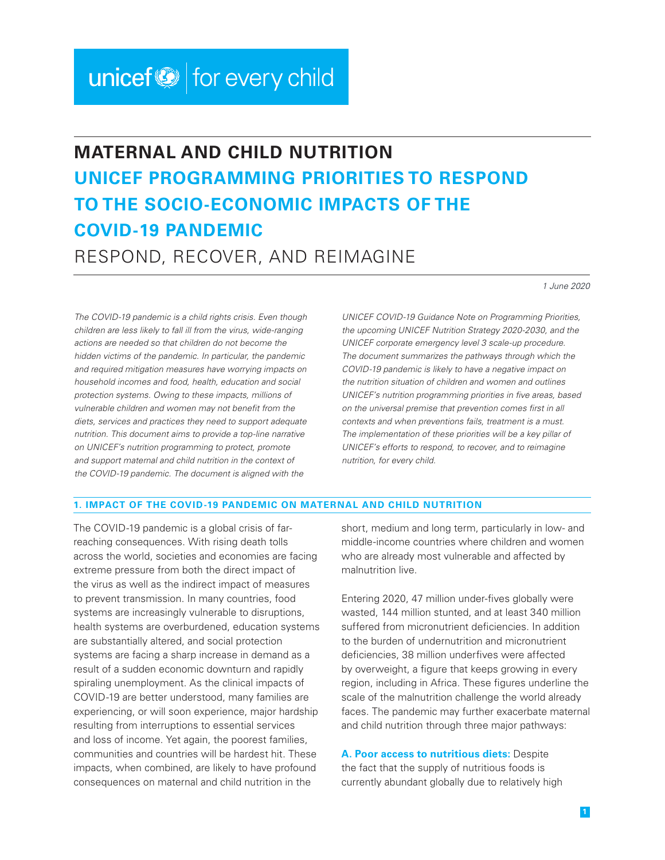# unicef<sup>®</sup> for every child

# **MATERNAL AND CHILD NUTRITION UNICEF PROGRAMMING PRIORITIES TO RESPOND TO THE SOCIO-ECONOMIC IMPACTS OF THE COVID-19 PANDEMIC** RESPOND, RECOVER, AND REIMAGINE

*1 June 2020*

*The COVID-19 pandemic is a child rights crisis. Even though children are less likely to fall ill from the virus, wide-ranging actions are needed so that children do not become the hidden victims of the pandemic. In particular, the pandemic and required mitigation measures have worrying impacts on household incomes and food, health, education and social protection systems. Owing to these impacts, millions of vulnerable children and women may not benefit from the diets, services and practices they need to support adequate nutrition. This document aims to provide a top-line narrative on UNICEF's nutrition programming to protect, promote and support maternal and child nutrition in the context of the COVID-19 pandemic. The document is aligned with the* 

*UNICEF COVID-19 Guidance Note on Programming Priorities, the upcoming UNICEF Nutrition Strategy 2020-2030, and the UNICEF corporate emergency level 3 scale-up procedure. The document summarizes the pathways through which the COVID-19 pandemic is likely to have a negative impact on the nutrition situation of children and women and outlines UNICEF's nutrition programming priorities in five areas, based on the universal premise that prevention comes first in all contexts and when preventions fails, treatment is a must. The implementation of these priorities will be a key pillar of UNICEF's efforts to respond, to recover, and to reimagine nutrition, for every child.* 

#### **1. IMPACT OF THE COVID-19 PANDEMIC ON MATERNAL AND CHILD NUTRITION**

The COVID-19 pandemic is a global crisis of farreaching consequences. With rising death tolls across the world, societies and economies are facing extreme pressure from both the direct impact of the virus as well as the indirect impact of measures to prevent transmission. In many countries, food systems are increasingly vulnerable to disruptions, health systems are overburdened, education systems are substantially altered, and social protection systems are facing a sharp increase in demand as a result of a sudden economic downturn and rapidly spiraling unemployment. As the clinical impacts of COVID-19 are better understood, many families are experiencing, or will soon experience, major hardship resulting from interruptions to essential services and loss of income. Yet again, the poorest families, communities and countries will be hardest hit. These impacts, when combined, are likely to have profound consequences on maternal and child nutrition in the

short, medium and long term, particularly in low- and middle-income countries where children and women who are already most vulnerable and affected by malnutrition live.

Entering 2020, 47 million under-fives globally were wasted, 144 million stunted, and at least 340 million suffered from micronutrient deficiencies. In addition to the burden of undernutrition and micronutrient deficiencies, 38 million underfives were affected by overweight, a figure that keeps growing in every region, including in Africa. These figures underline the scale of the malnutrition challenge the world already faces. The pandemic may further exacerbate maternal and child nutrition through three major pathways:

**A. Poor access to nutritious diets:** Despite the fact that the supply of nutritious foods is currently abundant globally due to relatively high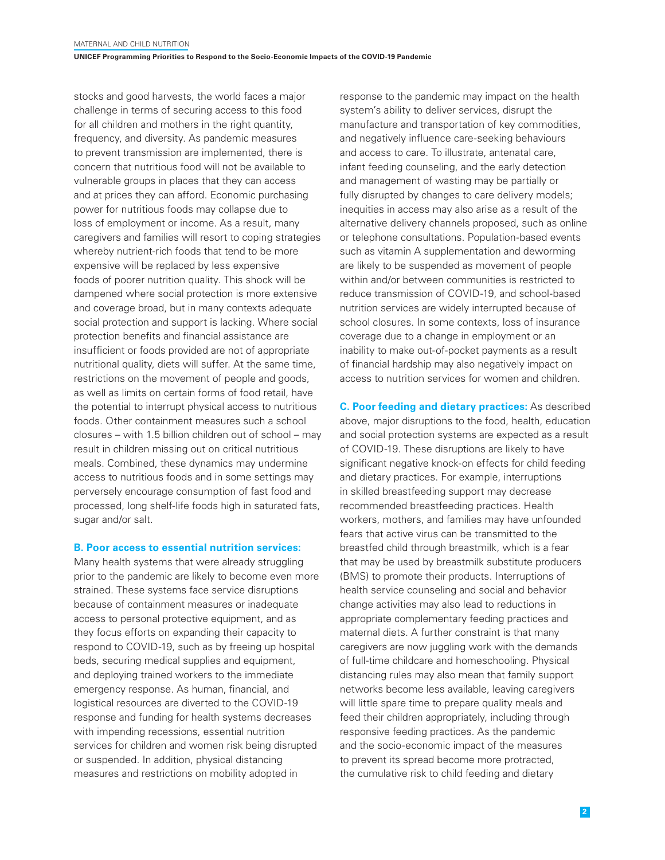stocks and good harvests, the world faces a major challenge in terms of securing access to this food for all children and mothers in the right quantity, frequency, and diversity. As pandemic measures to prevent transmission are implemented, there is concern that nutritious food will not be available to vulnerable groups in places that they can access and at prices they can afford. Economic purchasing power for nutritious foods may collapse due to loss of employment or income. As a result, many caregivers and families will resort to coping strategies whereby nutrient-rich foods that tend to be more expensive will be replaced by less expensive foods of poorer nutrition quality. This shock will be dampened where social protection is more extensive and coverage broad, but in many contexts adequate social protection and support is lacking. Where social protection benefits and financial assistance are insufficient or foods provided are not of appropriate nutritional quality, diets will suffer. At the same time, restrictions on the movement of people and goods, as well as limits on certain forms of food retail, have the potential to interrupt physical access to nutritious foods. Other containment measures such a school closures – with 1.5 billion children out of school – may result in children missing out on critical nutritious meals. Combined, these dynamics may undermine access to nutritious foods and in some settings may perversely encourage consumption of fast food and processed, long shelf-life foods high in saturated fats, sugar and/or salt.

#### **B. Poor access to essential nutrition services:**

Many health systems that were already struggling prior to the pandemic are likely to become even more strained. These systems face service disruptions because of containment measures or inadequate access to personal protective equipment, and as they focus efforts on expanding their capacity to respond to COVID-19, such as by freeing up hospital beds, securing medical supplies and equipment, and deploying trained workers to the immediate emergency response. As human, financial, and logistical resources are diverted to the COVID-19 response and funding for health systems decreases with impending recessions, essential nutrition services for children and women risk being disrupted or suspended. In addition, physical distancing measures and restrictions on mobility adopted in

response to the pandemic may impact on the health system's ability to deliver services, disrupt the manufacture and transportation of key commodities, and negatively influence care-seeking behaviours and access to care. To illustrate, antenatal care, infant feeding counseling, and the early detection and management of wasting may be partially or fully disrupted by changes to care delivery models: inequities in access may also arise as a result of the alternative delivery channels proposed, such as online or telephone consultations. Population-based events such as vitamin A supplementation and deworming are likely to be suspended as movement of people within and/or between communities is restricted to reduce transmission of COVID-19, and school-based nutrition services are widely interrupted because of school closures. In some contexts, loss of insurance coverage due to a change in employment or an inability to make out-of-pocket payments as a result of financial hardship may also negatively impact on access to nutrition services for women and children.

**C. Poor feeding and dietary practices:** As described above, major disruptions to the food, health, education and social protection systems are expected as a result of COVID-19. These disruptions are likely to have significant negative knock-on effects for child feeding and dietary practices. For example, interruptions in skilled breastfeeding support may decrease recommended breastfeeding practices. Health workers, mothers, and families may have unfounded fears that active virus can be transmitted to the breastfed child through breastmilk, which is a fear that may be used by breastmilk substitute producers (BMS) to promote their products. Interruptions of health service counseling and social and behavior change activities may also lead to reductions in appropriate complementary feeding practices and maternal diets. A further constraint is that many caregivers are now juggling work with the demands of full-time childcare and homeschooling. Physical distancing rules may also mean that family support networks become less available, leaving caregivers will little spare time to prepare quality meals and feed their children appropriately, including through responsive feeding practices. As the pandemic and the socio-economic impact of the measures to prevent its spread become more protracted, the cumulative risk to child feeding and dietary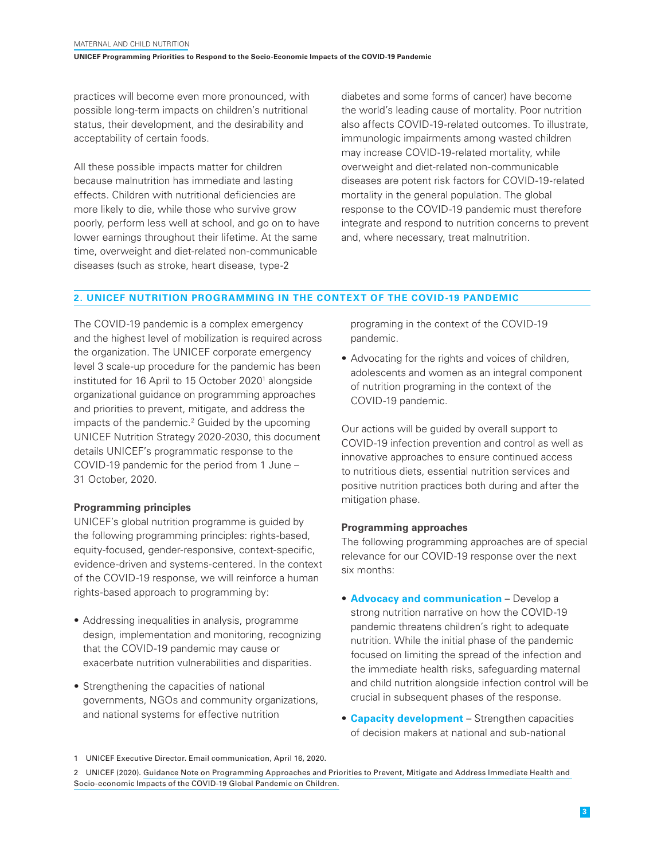practices will become even more pronounced, with possible long-term impacts on children's nutritional status, their development, and the desirability and acceptability of certain foods.

All these possible impacts matter for children because malnutrition has immediate and lasting effects. Children with nutritional deficiencies are more likely to die, while those who survive grow poorly, perform less well at school, and go on to have lower earnings throughout their lifetime. At the same time, overweight and diet-related non-communicable diseases (such as stroke, heart disease, type-2

diabetes and some forms of cancer) have become the world's leading cause of mortality. Poor nutrition also affects COVID-19-related outcomes. To illustrate, immunologic impairments among wasted children may increase COVID-19-related mortality, while overweight and diet-related non-communicable diseases are potent risk factors for COVID-19-related mortality in the general population. The global response to the COVID-19 pandemic must therefore integrate and respond to nutrition concerns to prevent and, where necessary, treat malnutrition.

# **2. UNICEF NUTRITION PROGRAMMING IN THE CONTEXT OF THE COVID-19 PANDEMIC**

The COVID-19 pandemic is a complex emergency and the highest level of mobilization is required across the organization. The UNICEF corporate emergency level 3 scale-up procedure for the pandemic has been instituted for 16 April to 15 October 2020<sup>1</sup> alongside organizational guidance on programming approaches and priorities to prevent, mitigate, and address the impacts of the pandemic.<sup>2</sup> Guided by the upcoming UNICEF Nutrition Strategy 2020-2030, this document details UNICEF's programmatic response to the COVID-19 pandemic for the period from 1 June – 31 October, 2020.

#### **Programming principles**

UNICEF's global nutrition programme is guided by the following programming principles: rights-based, equity-focused, gender-responsive, context-specific, evidence-driven and systems-centered. In the context of the COVID-19 response, we will reinforce a human rights-based approach to programming by:

- Addressing inequalities in analysis, programme design, implementation and monitoring, recognizing that the COVID-19 pandemic may cause or exacerbate nutrition vulnerabilities and disparities.
- Strengthening the capacities of national governments, NGOs and community organizations, and national systems for effective nutrition

programing in the context of the COVID-19 pandemic.

• Advocating for the rights and voices of children, adolescents and women as an integral component of nutrition programing in the context of the COVID-19 pandemic.

Our actions will be guided by overall support to COVID-19 infection prevention and control as well as innovative approaches to ensure continued access to nutritious diets, essential nutrition services and positive nutrition practices both during and after the mitigation phase.

#### **Programming approaches**

The following programming approaches are of special relevance for our COVID-19 response over the next six months:

- **Advocacy and communication** Develop a strong nutrition narrative on how the COVID-19 pandemic threatens children's right to adequate nutrition. While the initial phase of the pandemic focused on limiting the spread of the infection and the immediate health risks, safeguarding maternal and child nutrition alongside infection control will be crucial in subsequent phases of the response.
- **Capacity development** Strengthen capacities of decision makers at national and sub-national

<sup>1</sup> UNICEF Executive Director. Email communication, April 16, 2020.

<sup>2</sup> UNICEF (2020). [Guidance Note on Programming Approaches and Priorities to Prevent, Mitigate and Address Immediate Health and](https://unicef.sharepoint.com/sites/EMOPS-2019nCoV/DocumentLibrary1/COVID-19 Programme Guidance/COVID-19 Guidance Note on Programming Approaches and Priorities.pdf)  [Socio-economic Impacts of the COVID-19 Global Pandemic on Children.](https://unicef.sharepoint.com/sites/EMOPS-2019nCoV/DocumentLibrary1/COVID-19 Programme Guidance/COVID-19 Guidance Note on Programming Approaches and Priorities.pdf)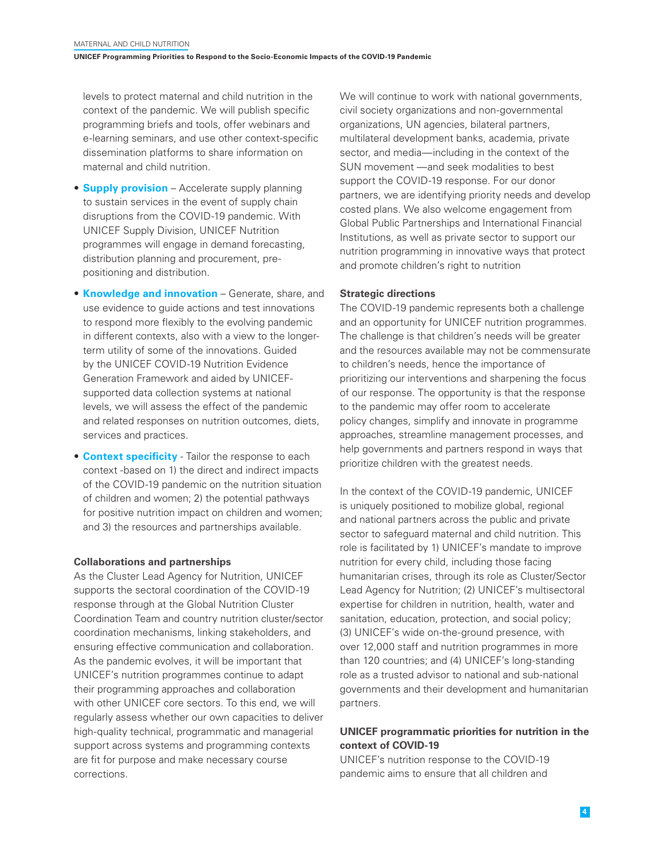levels to protect maternal and child nutrition in the context of the pandemic. We will publish specific programming briefs and tools, offer webinars and e-learning seminars, and use other context-specific dissemination platforms to share information on maternal and child nutrition.

- **Supply provision** Accelerate supply planning to sustain services in the event of supply chain disruptions from the COVID-19 pandemic. With UNICEF Supply Division, UNICEF Nutrition programmes will engage in demand forecasting, distribution planning and procurement, prepositioning and distribution.
- **Knowledge and innovation** Generate, share, and use evidence to guide actions and test innovations to respond more flexibly to the evolving pandemic in different contexts, also with a view to the longerterm utility of some of the innovations. Guided by the UNICEF COVID-19 Nutrition Evidence Generation Framework and aided by UNICEFsupported data collection systems at national levels, we will assess the effect of the pandemic and related responses on nutrition outcomes, diets, services and practices.
- **Context specificity** Tailor the response to each context -based on 1) the direct and indirect impacts of the COVID-19 pandemic on the nutrition situation of children and women; 2) the potential pathways for positive nutrition impact on children and women; and 3) the resources and partnerships available.

#### **Collaborations and partnerships**

As the Cluster Lead Agency for Nutrition, UNICEF supports the sectoral coordination of the COVID-19 response through at the Global Nutrition Cluster Coordination Team and country nutrition cluster/sector coordination mechanisms, linking stakeholders, and ensuring effective communication and collaboration. As the pandemic evolves, it will be important that UNICEF's nutrition programmes continue to adapt their programming approaches and collaboration with other UNICEF core sectors. To this end, we will regularly assess whether our own capacities to deliver high-quality technical, programmatic and managerial support across systems and programming contexts are fit for purpose and make necessary course corrections.

We will continue to work with national governments, civil society organizations and non-governmental organizations, UN agencies, bilateral partners, multilateral development banks, academia, private sector, and media—including in the context of the SUN movement —and seek modalities to best support the COVID-19 response. For our donor partners, we are identifying priority needs and develop costed plans. We also welcome engagement from Global Public Partnerships and International Financial Institutions, as well as private sector to support our nutrition programming in innovative ways that protect and promote children's right to nutrition

#### **Strategic directions**

The COVID-19 pandemic represents both a challenge and an opportunity for UNICEF nutrition programmes. The challenge is that children's needs will be greater and the resources available may not be commensurate to children's needs, hence the importance of prioritizing our interventions and sharpening the focus of our response. The opportunity is that the response to the pandemic may offer room to accelerate policy changes, simplify and innovate in programme approaches, streamline management processes, and help governments and partners respond in ways that prioritize children with the greatest needs.

In the context of the COVID-19 pandemic, UNICEF is uniquely positioned to mobilize global, regional and national partners across the public and private sector to safeguard maternal and child nutrition. This role is facilitated by 1) UNICEF's mandate to improve nutrition for every child, including those facing humanitarian crises, through its role as Cluster/Sector Lead Agency for Nutrition; (2) UNICEF's multisectoral expertise for children in nutrition, health, water and sanitation, education, protection, and social policy; (3) UNICEF's wide on-the-ground presence, with over 12,000 staff and nutrition programmes in more than 120 countries; and (4) UNICEF's long-standing role as a trusted advisor to national and sub-national governments and their development and humanitarian partners.

# **UNICEF programmatic priorities for nutrition in the context of COVID-19**

UNICEF's nutrition response to the COVID-19 pandemic aims to ensure that all children and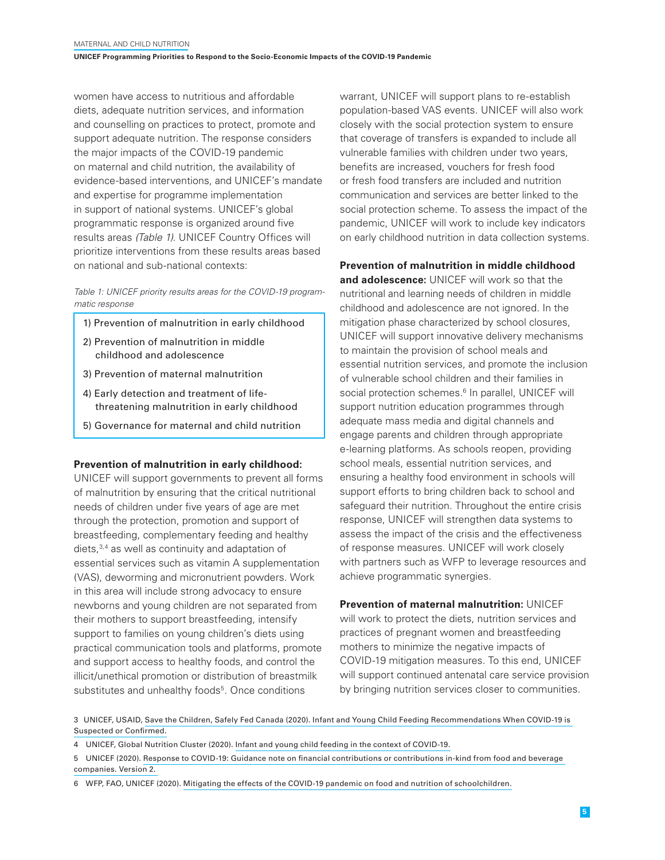women have access to nutritious and affordable diets, adequate nutrition services, and information and counselling on practices to protect, promote and support adequate nutrition. The response considers the major impacts of the COVID-19 pandemic on maternal and child nutrition, the availability of evidence-based interventions, and UNICEF's mandate and expertise for programme implementation in support of national systems. UNICEF's global programmatic response is organized around five results areas *(Table 1)*. UNICEF Country Offices will prioritize interventions from these results areas based on national and sub-national contexts:

#### *Table 1: UNICEF priority results areas for the COVID-19 programmatic response*

- 1) Prevention of malnutrition in early childhood
- 2) Prevention of malnutrition in middle childhood and adolescence
- 3) Prevention of maternal malnutrition
- 4) Early detection and treatment of lifethreatening malnutrition in early childhood
- 5) Governance for maternal and child nutrition

#### **Prevention of malnutrition in early childhood:**

UNICEF will support governments to prevent all forms of malnutrition by ensuring that the critical nutritional needs of children under five years of age are met through the protection, promotion and support of breastfeeding, complementary feeding and healthy diets,3,4 as well as continuity and adaptation of essential services such as vitamin A supplementation (VAS), deworming and micronutrient powders. Work in this area will include strong advocacy to ensure newborns and young children are not separated from their mothers to support breastfeeding, intensify support to families on young children's diets using practical communication tools and platforms, promote and support access to healthy foods, and control the illicit/unethical promotion or distribution of breastmilk substitutes and unhealthy foods<sup>5</sup>. Once conditions

warrant, UNICEF will support plans to re-establish population-based VAS events. UNICEF will also work closely with the social protection system to ensure that coverage of transfers is expanded to include all vulnerable families with children under two years, benefits are increased, vouchers for fresh food or fresh food transfers are included and nutrition communication and services are better linked to the social protection scheme. To assess the impact of the pandemic, UNICEF will work to include key indicators on early childhood nutrition in data collection systems.

**Prevention of malnutrition in middle childhood** 

**and adolescence:** UNICEF will work so that the nutritional and learning needs of children in middle childhood and adolescence are not ignored. In the mitigation phase characterized by school closures, UNICEF will support innovative delivery mechanisms to maintain the provision of school meals and essential nutrition services, and promote the inclusion of vulnerable school children and their families in social protection schemes.<sup>6</sup> In parallel, UNICEF will support nutrition education programmes through adequate mass media and digital channels and engage parents and children through appropriate e-learning platforms. As schools reopen, providing school meals, essential nutrition services, and ensuring a healthy food environment in schools will support efforts to bring children back to school and safeguard their nutrition. Throughout the entire crisis response, UNICEF will strengthen data systems to assess the impact of the crisis and the effectiveness of response measures. UNICEF will work closely with partners such as WFP to leverage resources and achieve programmatic synergies.

**Prevention of maternal malnutrition:** UNICEF will work to protect the diets, nutrition services and practices of pregnant women and breastfeeding mothers to minimize the negative impacts of COVID-19 mitigation measures. To this end, UNICEF will support continued antenatal care service provision by bringing nutrition services closer to communities.

3 UNICEF, USAID, [Save the Children, Safely Fed Canada \(2020\). Infant and Young Child Feeding Recommendations When COVID-19 is](https://www.advancingnutrition.org/news-events/2020/04/24/infant-and-young-child-feeding-recommendations-when-covid-19-suspected-or)  [Suspected or Confirmed.](https://www.advancingnutrition.org/news-events/2020/04/24/infant-and-young-child-feeding-recommendations-when-covid-19-suspected-or)

- 5 UNICEF (2020). [Response to COVID-19: Guidance note on financial contributions or contributions in-kind from food and beverage](https://unicef.sharepoint.com/sites/PD-Nutrition/COVID 19/Forms/AllItems.aspx?id=/sites/PD-Nutrition/COVID%2019/HQ%20Guidance%20%28English%29%20-%20COVID%20Nutrition%20Guidance%20on%20financial%20contributions%20and%20CIK-V2.pdf&parent=/sites/PD-Nutrition/COVID%2019)  [companies. Version 2.](https://unicef.sharepoint.com/sites/PD-Nutrition/COVID 19/Forms/AllItems.aspx?id=/sites/PD-Nutrition/COVID%2019/HQ%20Guidance%20%28English%29%20-%20COVID%20Nutrition%20Guidance%20on%20financial%20contributions%20and%20CIK-V2.pdf&parent=/sites/PD-Nutrition/COVID%2019)
- 6 WFP, FAO, UNICEF (2020). [Mitigating the effects of the COVID-19 pandemic on food and nutrition of schoolchildren.](https://unicef.sharepoint.com/sites/PD-Nutrition/COVID 19/Forms/AllItems.aspx?id=%2Fsites%2FPD%2DNutrition%2FCOVID%2019%2FHQ%20Guidance%20%28English%29%20%2D%20Mitigating%20the%20Effects%20of%20the%20COVID%2D19%20Pandemic%20on%20Food%20and%20Nutrition%20of%20Schoolchildren%20FAO%20WFP%20UNICEF%20v1%2027MAR2020%2Epdf&parent=%2Fsites%2FPD%2DNutrition%2FCOVID%2019)

<sup>4</sup> UNICEF, Global Nutrition Cluster (2020). [Infant and young child feeding in the context of COVID-19.](https://unicef.sharepoint.com/sites/PD-Nutrition/COVID 19/Forms/AllItems.aspx?id=%2Fsites%2FPD%2DNutrition%2FCOVID%2019%2FHQ%20Guidance%20%28English%29%20%2D%20IYCF%20Programming%20COVID19%20Brief%202%20v1%2030MAR2020%2Epdf&parent=%2Fsites%2FPD%2DNutrition%2FCOVID%2019)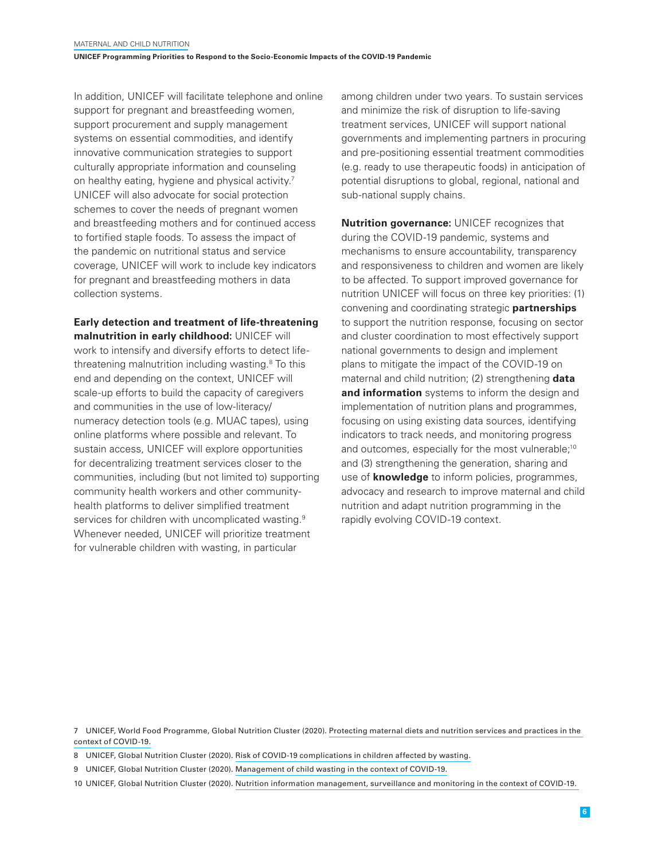In addition, UNICEF will facilitate telephone and online support for pregnant and breastfeeding women, support procurement and supply management systems on essential commodities, and identify innovative communication strategies to support culturally appropriate information and counseling on healthy eating, hygiene and physical activity.7 UNICEF will also advocate for social protection schemes to cover the needs of pregnant women and breastfeeding mothers and for continued access to fortified staple foods. To assess the impact of the pandemic on nutritional status and service coverage, UNICEF will work to include key indicators for pregnant and breastfeeding mothers in data collection systems.

### **Early detection and treatment of life-threatening malnutrition in early childhood:** UNICEF will

work to intensify and diversify efforts to detect lifethreatening malnutrition including wasting.<sup>8</sup> To this end and depending on the context, UNICEF will scale-up efforts to build the capacity of caregivers and communities in the use of low-literacy/ numeracy detection tools (e.g. MUAC tapes), using online platforms where possible and relevant. To sustain access, UNICEF will explore opportunities for decentralizing treatment services closer to the communities, including (but not limited to) supporting community health workers and other communityhealth platforms to deliver simplified treatment services for children with uncomplicated wasting.<sup>9</sup> Whenever needed, UNICEF will prioritize treatment for vulnerable children with wasting, in particular

among children under two years. To sustain services and minimize the risk of disruption to life-saving treatment services, UNICEF will support national governments and implementing partners in procuring and pre-positioning essential treatment commodities (e.g. ready to use therapeutic foods) in anticipation of potential disruptions to global, regional, national and sub-national supply chains.

**Nutrition governance:** UNICEF recognizes that during the COVID-19 pandemic, systems and mechanisms to ensure accountability, transparency and responsiveness to children and women are likely to be affected. To support improved governance for nutrition UNICEF will focus on three key priorities: (1) convening and coordinating strategic **partnerships** to support the nutrition response, focusing on sector and cluster coordination to most effectively support national governments to design and implement plans to mitigate the impact of the COVID-19 on maternal and child nutrition; (2) strengthening **data and information** systems to inform the design and implementation of nutrition plans and programmes, focusing on using existing data sources, identifying indicators to track needs, and monitoring progress and outcomes, especially for the most vulnerable;<sup>10</sup> and (3) strengthening the generation, sharing and use of **knowledge** to inform policies, programmes, advocacy and research to improve maternal and child nutrition and adapt nutrition programming in the rapidly evolving COVID-19 context.

7 UNICEF, World Food Programme, Global Nutrition Cluster (2020). [Protecting maternal diets and nutrition services and practices in the](https://unicef.sharepoint.com/sites/PD-Nutrition/COVID 19/Forms/AllItems.aspx?id=%2Fsites%2FPD%2DNutrition%2FCOVID%2019%2FHQ%20Guidance%20%28English%29%20%2D%20Brief%20on%20Maternal%20Nutrition%20in%20the%20Context%20of%20COVID19%20v1%2028APR2020%2Epdf&parent=%2Fsites%2FPD%2DNutrition%2FCOVID%2019)  [context of COVID-19.](https://unicef.sharepoint.com/sites/PD-Nutrition/COVID 19/Forms/AllItems.aspx?id=%2Fsites%2FPD%2DNutrition%2FCOVID%2019%2FHQ%20Guidance%20%28English%29%20%2D%20Brief%20on%20Maternal%20Nutrition%20in%20the%20Context%20of%20COVID19%20v1%2028APR2020%2Epdf&parent=%2Fsites%2FPD%2DNutrition%2FCOVID%2019)

8 UNICEF, Global Nutrition Cluster (2020). [Risk of COVID-19 complications in children affected by wasting.](https://unicef.sharepoint.com/sites/PD-Nutrition/COVID 19/Forms/AllItems.aspx?id=%2Fsites%2FPD%2DNutrition%2FCOVID%2019%2FHQ%20Guidance%20%28English%29%20%2D%20UNICEF%20GNC%20Joint%20Statement%20on%20COVID19%20and%20Wasting%207APR2020%2Epdf&parent=%2Fsites%2FPD%2DNutrition%2FCOVID%2019)

9 UNICEF, Global Nutrition Cluster (2020). [Management of child wasting in the context of COVID-19.](https://unicef.sharepoint.com/sites/PD-Nutrition/COVID 19/Forms/AllItems.aspx?id=%2Fsites%2FPD%2DNutrition%2FCOVID%2019%2FHQ%20Guidance%20%28English%29%20%2D%20Wasting%20Programming%20COVID19%20v2%2027MAR2020%2Epdf&parent=%2Fsites%2FPD%2DNutrition%2FCOVID%2019)

<sup>10</sup> UNICEF, Global Nutrition Cluster (2020). [Nutrition information management, surveillance and monitoring in the context of COVID-19.](https://unicef.sharepoint.com/sites/PD-Nutrition/COVID 19/Forms/AllItems.aspx?id=%2Fsites%2FPD%2DNutrition%2FCOVID%2019%2FHQ%20Guidance%20%28English%29%20%2D%20Nutrition%20Information%20Management%20Surveillance%20and%20Monitoring%20COVID19%20v1%2014APR2020%2Epdf&parent=%2Fsites%2FPD%2DNutrition%2FCOVID%2019)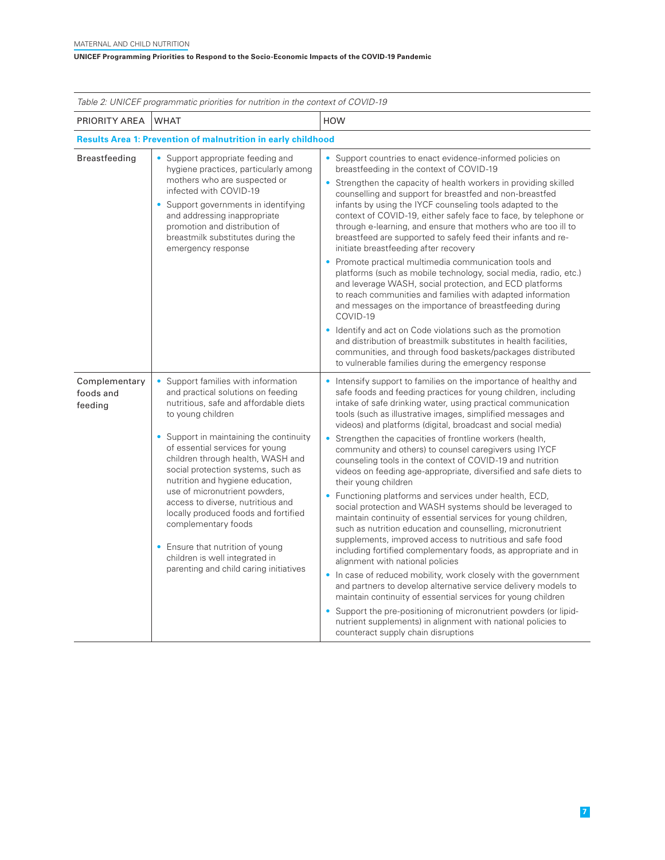| Table 2: UNICEF programmatic priorities for nutrition in the context of COVID-19 |                                                                                                                                                                                                                                                                                                                                                                                                                                                |                                                                                                                                                                                                                                                                                                                                                                                                                                                                                                                                                                                                                                                                                                                                                                                                                                                                             |  |
|----------------------------------------------------------------------------------|------------------------------------------------------------------------------------------------------------------------------------------------------------------------------------------------------------------------------------------------------------------------------------------------------------------------------------------------------------------------------------------------------------------------------------------------|-----------------------------------------------------------------------------------------------------------------------------------------------------------------------------------------------------------------------------------------------------------------------------------------------------------------------------------------------------------------------------------------------------------------------------------------------------------------------------------------------------------------------------------------------------------------------------------------------------------------------------------------------------------------------------------------------------------------------------------------------------------------------------------------------------------------------------------------------------------------------------|--|
| PRIORITY AREA                                                                    | <b>WHAT</b>                                                                                                                                                                                                                                                                                                                                                                                                                                    | <b>HOW</b>                                                                                                                                                                                                                                                                                                                                                                                                                                                                                                                                                                                                                                                                                                                                                                                                                                                                  |  |
| <b>Results Area 1: Prevention of malnutrition in early childhood</b>             |                                                                                                                                                                                                                                                                                                                                                                                                                                                |                                                                                                                                                                                                                                                                                                                                                                                                                                                                                                                                                                                                                                                                                                                                                                                                                                                                             |  |
| <b>Breastfeeding</b>                                                             | • Support appropriate feeding and<br>hygiene practices, particularly among<br>mothers who are suspected or<br>infected with COVID-19<br>• Support governments in identifying<br>and addressing inappropriate<br>promotion and distribution of<br>breastmilk substitutes during the<br>emergency response                                                                                                                                       | • Support countries to enact evidence-informed policies on<br>breastfeeding in the context of COVID-19<br>Strengthen the capacity of health workers in providing skilled<br>counselling and support for breastfed and non-breastfed<br>infants by using the IYCF counseling tools adapted to the<br>context of COVID-19, either safely face to face, by telephone or<br>through e-learning, and ensure that mothers who are too ill to<br>breastfeed are supported to safely feed their infants and re-<br>initiate breastfeeding after recovery<br>Promote practical multimedia communication tools and<br>platforms (such as mobile technology, social media, radio, etc.)<br>and leverage WASH, social protection, and ECD platforms<br>to reach communities and families with adapted information<br>and messages on the importance of breastfeeding during<br>COVID-19 |  |
|                                                                                  |                                                                                                                                                                                                                                                                                                                                                                                                                                                | Identify and act on Code violations such as the promotion<br>and distribution of breastmilk substitutes in health facilities.<br>communities, and through food baskets/packages distributed<br>to vulnerable families during the emergency response                                                                                                                                                                                                                                                                                                                                                                                                                                                                                                                                                                                                                         |  |
| Complementary<br>foods and<br>feeding                                            | • Support families with information<br>and practical solutions on feeding<br>nutritious, safe and affordable diets<br>to young children                                                                                                                                                                                                                                                                                                        | Intensify support to families on the importance of healthy and<br>safe foods and feeding practices for young children, including<br>intake of safe drinking water, using practical communication<br>tools (such as illustrative images, simplified messages and<br>videos) and platforms (digital, broadcast and social media)                                                                                                                                                                                                                                                                                                                                                                                                                                                                                                                                              |  |
|                                                                                  | • Support in maintaining the continuity<br>of essential services for young<br>children through health, WASH and<br>social protection systems, such as<br>nutrition and hygiene education,<br>use of micronutrient powders,<br>access to diverse, nutritious and<br>locally produced foods and fortified<br>complementary foods<br>• Ensure that nutrition of young<br>children is well integrated in<br>parenting and child caring initiatives | Strengthen the capacities of frontline workers (health,<br>٠<br>community and others) to counsel caregivers using IYCF<br>counseling tools in the context of COVID-19 and nutrition<br>videos on feeding age-appropriate, diversified and safe diets to<br>their young children<br>Functioning platforms and services under health, ECD,                                                                                                                                                                                                                                                                                                                                                                                                                                                                                                                                    |  |
|                                                                                  |                                                                                                                                                                                                                                                                                                                                                                                                                                                | social protection and WASH systems should be leveraged to<br>maintain continuity of essential services for young children,<br>such as nutrition education and counselling, micronutrient<br>supplements, improved access to nutritious and safe food<br>including fortified complementary foods, as appropriate and in<br>alignment with national policies                                                                                                                                                                                                                                                                                                                                                                                                                                                                                                                  |  |
|                                                                                  |                                                                                                                                                                                                                                                                                                                                                                                                                                                | • In case of reduced mobility, work closely with the government<br>and partners to develop alternative service delivery models to<br>maintain continuity of essential services for young children                                                                                                                                                                                                                                                                                                                                                                                                                                                                                                                                                                                                                                                                           |  |
|                                                                                  |                                                                                                                                                                                                                                                                                                                                                                                                                                                | Support the pre-positioning of micronutrient powders (or lipid-<br>nutrient supplements) in alignment with national policies to<br>counteract supply chain disruptions                                                                                                                                                                                                                                                                                                                                                                                                                                                                                                                                                                                                                                                                                                      |  |

 **7**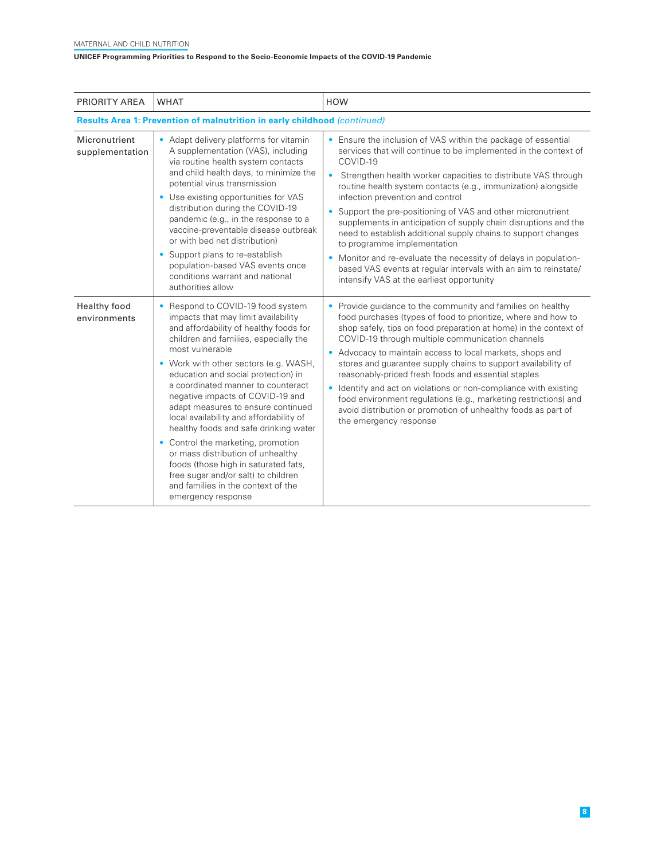| PRIORITY AREA                                                             | <b>WHAT</b>                                                                                                                                                                                                                                                                                                                                                                                                                                                                                                                                                                                                                                                                          | <b>HOW</b>                                                                                                                                                                                                                                                                                                                                                                                                                                                                                                                                                                                                                                                                                                                                             |
|---------------------------------------------------------------------------|--------------------------------------------------------------------------------------------------------------------------------------------------------------------------------------------------------------------------------------------------------------------------------------------------------------------------------------------------------------------------------------------------------------------------------------------------------------------------------------------------------------------------------------------------------------------------------------------------------------------------------------------------------------------------------------|--------------------------------------------------------------------------------------------------------------------------------------------------------------------------------------------------------------------------------------------------------------------------------------------------------------------------------------------------------------------------------------------------------------------------------------------------------------------------------------------------------------------------------------------------------------------------------------------------------------------------------------------------------------------------------------------------------------------------------------------------------|
| Results Area 1: Prevention of malnutrition in early childhood (continued) |                                                                                                                                                                                                                                                                                                                                                                                                                                                                                                                                                                                                                                                                                      |                                                                                                                                                                                                                                                                                                                                                                                                                                                                                                                                                                                                                                                                                                                                                        |
| Micronutrient<br>supplementation                                          | • Adapt delivery platforms for vitamin<br>A supplementation (VAS), including<br>via routine health system contacts<br>and child health days, to minimize the<br>potential virus transmission<br>Use existing opportunities for VAS<br>$\bullet$<br>distribution during the COVID-19<br>pandemic (e.g., in the response to a<br>vaccine-preventable disease outbreak<br>or with bed net distribution)<br>Support plans to re-establish<br>$\bullet$<br>population-based VAS events once<br>conditions warrant and national<br>authorities allow                                                                                                                                       | • Ensure the inclusion of VAS within the package of essential<br>services that will continue to be implemented in the context of<br>COVID-19<br>$\bullet$<br>Strengthen health worker capacities to distribute VAS through<br>routine health system contacts (e.g., immunization) alongside<br>infection prevention and control<br>• Support the pre-positioning of VAS and other micronutrient<br>supplements in anticipation of supply chain disruptions and the<br>need to establish additional supply chains to support changes<br>to programme implementation<br>• Monitor and re-evaluate the necessity of delays in population-<br>based VAS events at regular intervals with an aim to reinstate/<br>intensify VAS at the earliest opportunity |
| Healthy food<br>environments                                              | Respond to COVID-19 food system<br>impacts that may limit availability<br>and affordability of healthy foods for<br>children and families, especially the<br>most vulnerable<br>• Work with other sectors (e.g. WASH,<br>education and social protection) in<br>a coordinated manner to counteract<br>negative impacts of COVID-19 and<br>adapt measures to ensure continued<br>local availability and affordability of<br>healthy foods and safe drinking water<br>Control the marketing, promotion<br>or mass distribution of unhealthy<br>foods (those high in saturated fats,<br>free sugar and/or salt) to children<br>and families in the context of the<br>emergency response | • Provide guidance to the community and families on healthy<br>food purchases (types of food to prioritize, where and how to<br>shop safely, tips on food preparation at home) in the context of<br>COVID-19 through multiple communication channels<br>• Advocacy to maintain access to local markets, shops and<br>stores and guarantee supply chains to support availability of<br>reasonably-priced fresh foods and essential staples<br>• Identify and act on violations or non-compliance with existing<br>food environment regulations (e.g., marketing restrictions) and<br>avoid distribution or promotion of unhealthy foods as part of<br>the emergency response                                                                            |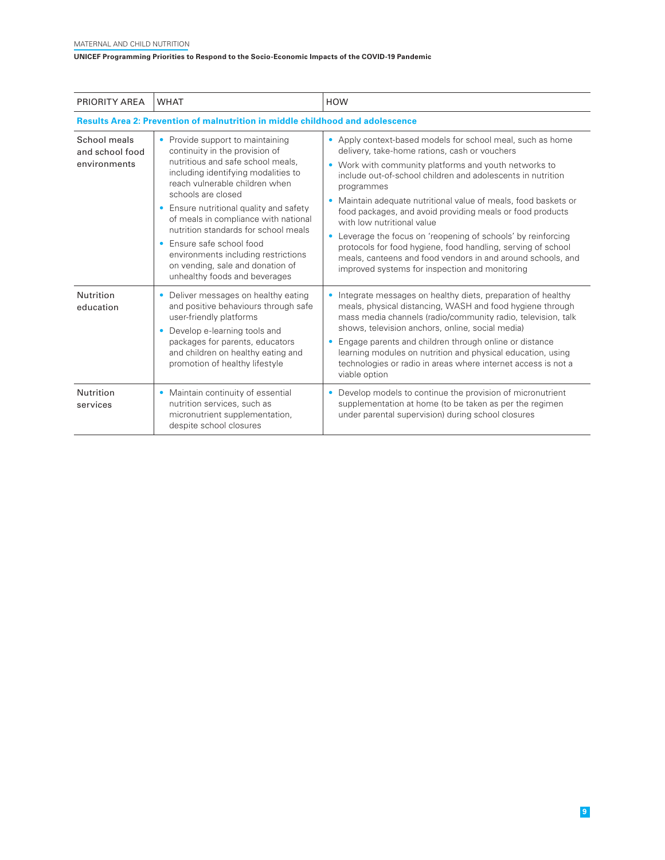| PRIORITY AREA                                                                         | <b>WHAT</b>                                                                                                                                                                                                                                                                                                                                                                                                                                                                                 | <b>HOW</b>                                                                                                                                                                                                                                                                                                                                                                                                                                                                                                                                                                                                                                                      |
|---------------------------------------------------------------------------------------|---------------------------------------------------------------------------------------------------------------------------------------------------------------------------------------------------------------------------------------------------------------------------------------------------------------------------------------------------------------------------------------------------------------------------------------------------------------------------------------------|-----------------------------------------------------------------------------------------------------------------------------------------------------------------------------------------------------------------------------------------------------------------------------------------------------------------------------------------------------------------------------------------------------------------------------------------------------------------------------------------------------------------------------------------------------------------------------------------------------------------------------------------------------------------|
| <b>Results Area 2: Prevention of malnutrition in middle childhood and adolescence</b> |                                                                                                                                                                                                                                                                                                                                                                                                                                                                                             |                                                                                                                                                                                                                                                                                                                                                                                                                                                                                                                                                                                                                                                                 |
| School meals<br>and school food<br>environments                                       | Provide support to maintaining<br>۰<br>continuity in the provision of<br>nutritious and safe school meals.<br>including identifying modalities to<br>reach vulnerable children when<br>schools are closed<br>Ensure nutritional quality and safety<br>$\bullet$<br>of meals in compliance with national<br>nutrition standards for school meals<br>Ensure safe school food<br>٠<br>environments including restrictions<br>on vending, sale and donation of<br>unhealthy foods and beverages | • Apply context-based models for school meal, such as home<br>delivery, take-home rations, cash or vouchers<br>• Work with community platforms and youth networks to<br>include out-of-school children and adolescents in nutrition<br>programmes<br>• Maintain adequate nutritional value of meals, food baskets or<br>food packages, and avoid providing meals or food products<br>with low nutritional value<br>Leverage the focus on 'reopening of schools' by reinforcing<br>protocols for food hygiene, food handling, serving of school<br>meals, canteens and food vendors in and around schools, and<br>improved systems for inspection and monitoring |
| Nutrition<br>education                                                                | Deliver messages on healthy eating<br>۰<br>and positive behaviours through safe<br>user-friendly platforms<br>Develop e-learning tools and<br>packages for parents, educators<br>and children on healthy eating and<br>promotion of healthy lifestyle                                                                                                                                                                                                                                       | • Integrate messages on healthy diets, preparation of healthy<br>meals, physical distancing, WASH and food hygiene through<br>mass media channels (radio/community radio, television, talk<br>shows, television anchors, online, social media)<br>• Engage parents and children through online or distance<br>learning modules on nutrition and physical education, using<br>technologies or radio in areas where internet access is not a<br>viable option                                                                                                                                                                                                     |
| Nutrition<br>services                                                                 | Maintain continuity of essential<br>$\bullet$<br>nutrition services, such as<br>micronutrient supplementation,<br>despite school closures                                                                                                                                                                                                                                                                                                                                                   | Develop models to continue the provision of micronutrient<br>supplementation at home (to be taken as per the regimen<br>under parental supervision) during school closures                                                                                                                                                                                                                                                                                                                                                                                                                                                                                      |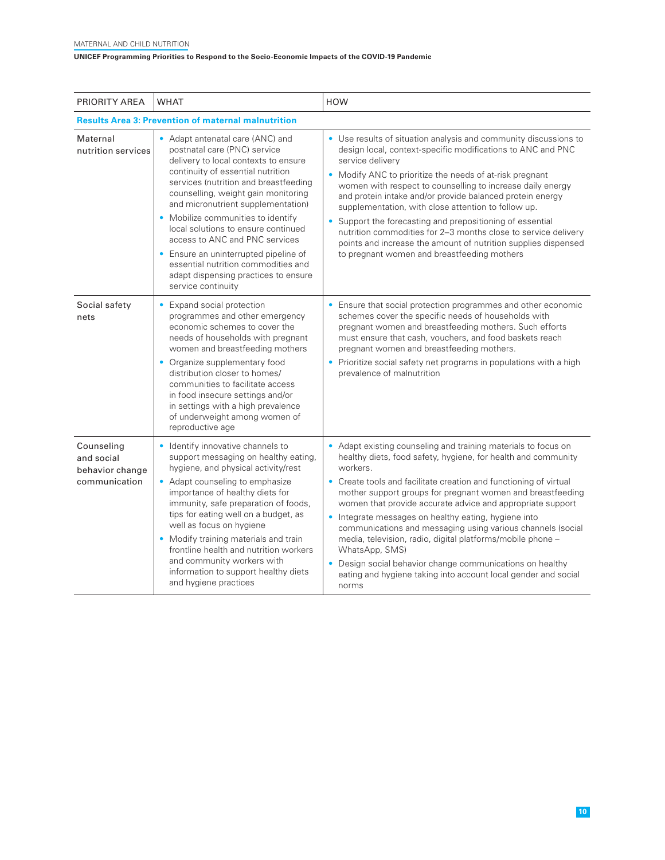| PRIORITY AREA                                                | <b>WHAT</b>                                                                                                                                                                                                                                                                                                                                                                                                                                                                                                                      | <b>HOW</b>                                                                                                                                                                                                                                                                                                                                                                                                                                                                                                                                                                                                                                                                                  |
|--------------------------------------------------------------|----------------------------------------------------------------------------------------------------------------------------------------------------------------------------------------------------------------------------------------------------------------------------------------------------------------------------------------------------------------------------------------------------------------------------------------------------------------------------------------------------------------------------------|---------------------------------------------------------------------------------------------------------------------------------------------------------------------------------------------------------------------------------------------------------------------------------------------------------------------------------------------------------------------------------------------------------------------------------------------------------------------------------------------------------------------------------------------------------------------------------------------------------------------------------------------------------------------------------------------|
| <b>Results Area 3: Prevention of maternal malnutrition</b>   |                                                                                                                                                                                                                                                                                                                                                                                                                                                                                                                                  |                                                                                                                                                                                                                                                                                                                                                                                                                                                                                                                                                                                                                                                                                             |
| Maternal<br>nutrition services                               | • Adapt antenatal care (ANC) and<br>postnatal care (PNC) service<br>delivery to local contexts to ensure<br>continuity of essential nutrition<br>services (nutrition and breastfeeding<br>counselling, weight gain monitoring<br>and micronutrient supplementation)<br>• Mobilize communities to identify<br>local solutions to ensure continued<br>access to ANC and PNC services<br>• Ensure an uninterrupted pipeline of<br>essential nutrition commodities and<br>adapt dispensing practices to ensure<br>service continuity | • Use results of situation analysis and community discussions to<br>design local, context-specific modifications to ANC and PNC<br>service deliverv<br>• Modify ANC to prioritize the needs of at-risk pregnant<br>women with respect to counselling to increase daily energy<br>and protein intake and/or provide balanced protein energy<br>supplementation, with close attention to follow up.<br>• Support the forecasting and prepositioning of essential<br>nutrition commodities for 2-3 months close to service delivery<br>points and increase the amount of nutrition supplies dispensed<br>to pregnant women and breastfeeding mothers                                           |
| Social safety<br>nets                                        | • Expand social protection<br>programmes and other emergency<br>economic schemes to cover the<br>needs of households with pregnant<br>women and breastfeeding mothers<br>• Organize supplementary food<br>distribution closer to homes/<br>communities to facilitate access<br>in food insecure settings and/or<br>in settings with a high prevalence<br>of underweight among women of<br>reproductive age                                                                                                                       | • Ensure that social protection programmes and other economic<br>schemes cover the specific needs of households with<br>pregnant women and breastfeeding mothers. Such efforts<br>must ensure that cash, vouchers, and food baskets reach<br>pregnant women and breastfeeding mothers.<br>• Prioritize social safety net programs in populations with a high<br>prevalence of malnutrition                                                                                                                                                                                                                                                                                                  |
| Counseling<br>and social<br>behavior change<br>communication | • Identify innovative channels to<br>support messaging on healthy eating,<br>hygiene, and physical activity/rest<br>• Adapt counseling to emphasize<br>importance of healthy diets for<br>immunity, safe preparation of foods,<br>tips for eating well on a budget, as<br>well as focus on hygiene<br>• Modify training materials and train<br>frontline health and nutrition workers<br>and community workers with<br>information to support healthy diets<br>and hygiene practices                                             | • Adapt existing counseling and training materials to focus on<br>healthy diets, food safety, hygiene, for health and community<br>workers.<br>• Create tools and facilitate creation and functioning of virtual<br>mother support groups for pregnant women and breastfeeding<br>women that provide accurate advice and appropriate support<br>• Integrate messages on healthy eating, hygiene into<br>communications and messaging using various channels (social<br>media, television, radio, digital platforms/mobile phone -<br>WhatsApp, SMS)<br>• Design social behavior change communications on healthy<br>eating and hygiene taking into account local gender and social<br>norms |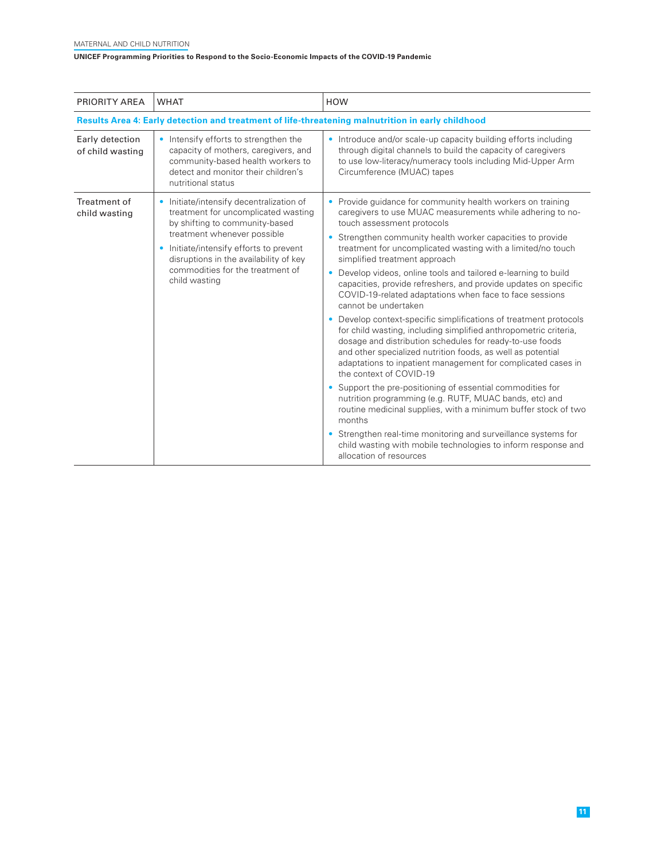| PRIORITY AREA                                                                                     | <b>WHAT</b>                                                                                                                                                                                                                                                                                                      | <b>HOW</b>                                                                                                                                                                                                                                                                                                                                                                                                                                                                                                                                                                                                                                                                                                                                                                                                                                                                                                                                                                                                                                                                                                                                                                                                                                                                         |
|---------------------------------------------------------------------------------------------------|------------------------------------------------------------------------------------------------------------------------------------------------------------------------------------------------------------------------------------------------------------------------------------------------------------------|------------------------------------------------------------------------------------------------------------------------------------------------------------------------------------------------------------------------------------------------------------------------------------------------------------------------------------------------------------------------------------------------------------------------------------------------------------------------------------------------------------------------------------------------------------------------------------------------------------------------------------------------------------------------------------------------------------------------------------------------------------------------------------------------------------------------------------------------------------------------------------------------------------------------------------------------------------------------------------------------------------------------------------------------------------------------------------------------------------------------------------------------------------------------------------------------------------------------------------------------------------------------------------|
| Results Area 4: Early detection and treatment of life-threatening malnutrition in early childhood |                                                                                                                                                                                                                                                                                                                  |                                                                                                                                                                                                                                                                                                                                                                                                                                                                                                                                                                                                                                                                                                                                                                                                                                                                                                                                                                                                                                                                                                                                                                                                                                                                                    |
| Early detection<br>of child wasting                                                               | Intensify efforts to strengthen the<br>capacity of mothers, caregivers, and<br>community-based health workers to<br>detect and monitor their children's<br>nutritional status                                                                                                                                    | • Introduce and/or scale-up capacity building efforts including<br>through digital channels to build the capacity of caregivers<br>to use low-literacy/numeracy tools including Mid-Upper Arm<br>Circumference (MUAC) tapes                                                                                                                                                                                                                                                                                                                                                                                                                                                                                                                                                                                                                                                                                                                                                                                                                                                                                                                                                                                                                                                        |
| Treatment of<br>child wasting                                                                     | Initiate/intensify decentralization of<br>$\bullet$<br>treatment for uncomplicated wasting<br>by shifting to community-based<br>treatment whenever possible<br>Initiate/intensify efforts to prevent<br>$\bullet$<br>disruptions in the availability of key<br>commodities for the treatment of<br>child wasting | • Provide guidance for community health workers on training<br>caregivers to use MUAC measurements while adhering to no-<br>touch assessment protocols<br>Strengthen community health worker capacities to provide<br>۰<br>treatment for uncomplicated wasting with a limited/no touch<br>simplified treatment approach<br>• Develop videos, online tools and tailored e-learning to build<br>capacities, provide refreshers, and provide updates on specific<br>COVID-19-related adaptations when face to face sessions<br>cannot be undertaken<br>Develop context-specific simplifications of treatment protocols<br>٠<br>for child wasting, including simplified anthropometric criteria,<br>dosage and distribution schedules for ready-to-use foods<br>and other specialized nutrition foods, as well as potential<br>adaptations to inpatient management for complicated cases in<br>the context of COVID-19<br>Support the pre-positioning of essential commodities for<br>nutrition programming (e.g. RUTF, MUAC bands, etc) and<br>routine medicinal supplies, with a minimum buffer stock of two<br>months<br>• Strengthen real-time monitoring and surveillance systems for<br>child wasting with mobile technologies to inform response and<br>allocation of resources |